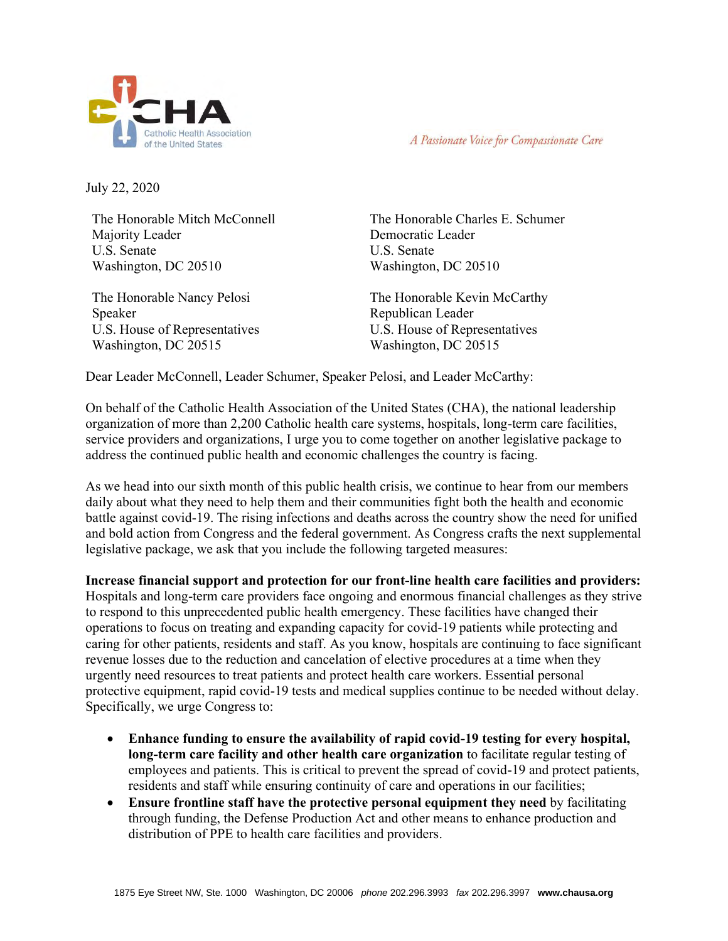

A Passionate Voice for Compassionate Care

July 22, 2020

The Honorable Mitch McConnell Majority Leader U.S. Senate Washington, DC 20510

The Honorable Nancy Pelosi Speaker U.S. House of Representatives Washington, DC 20515

The Honorable Charles E. Schumer Democratic Leader U.S. Senate Washington, DC 20510

The Honorable Kevin McCarthy Republican Leader U.S. House of Representatives Washington, DC 20515

Dear Leader McConnell, Leader Schumer, Speaker Pelosi, and Leader McCarthy:

On behalf of the Catholic Health Association of the United States (CHA), the national leadership organization of more than 2,200 Catholic health care systems, hospitals, long-term care facilities, service providers and organizations, I urge you to come together on another legislative package to address the continued public health and economic challenges the country is facing.

As we head into our sixth month of this public health crisis, we continue to hear from our members daily about what they need to help them and their communities fight both the health and economic battle against covid-19. The rising infections and deaths across the country show the need for unified and bold action from Congress and the federal government. As Congress crafts the next supplemental legislative package, we ask that you include the following targeted measures:

**Increase financial support and protection for our front-line health care facilities and providers:** Hospitals and long-term care providers face ongoing and enormous financial challenges as they strive to respond to this unprecedented public health emergency. These facilities have changed their operations to focus on treating and expanding capacity for covid-19 patients while protecting and caring for other patients, residents and staff. As you know, hospitals are continuing to face significant revenue losses due to the reduction and cancelation of elective procedures at a time when they urgently need resources to treat patients and protect health care workers. Essential personal protective equipment, rapid covid-19 tests and medical supplies continue to be needed without delay. Specifically, we urge Congress to:

- **Enhance funding to ensure the availability of rapid covid-19 testing for every hospital, long-term care facility and other health care organization** to facilitate regular testing of employees and patients. This is critical to prevent the spread of covid-19 and protect patients, residents and staff while ensuring continuity of care and operations in our facilities;
- **Ensure frontline staff have the protective personal equipment they need** by facilitating through funding, the Defense Production Act and other means to enhance production and distribution of PPE to health care facilities and providers.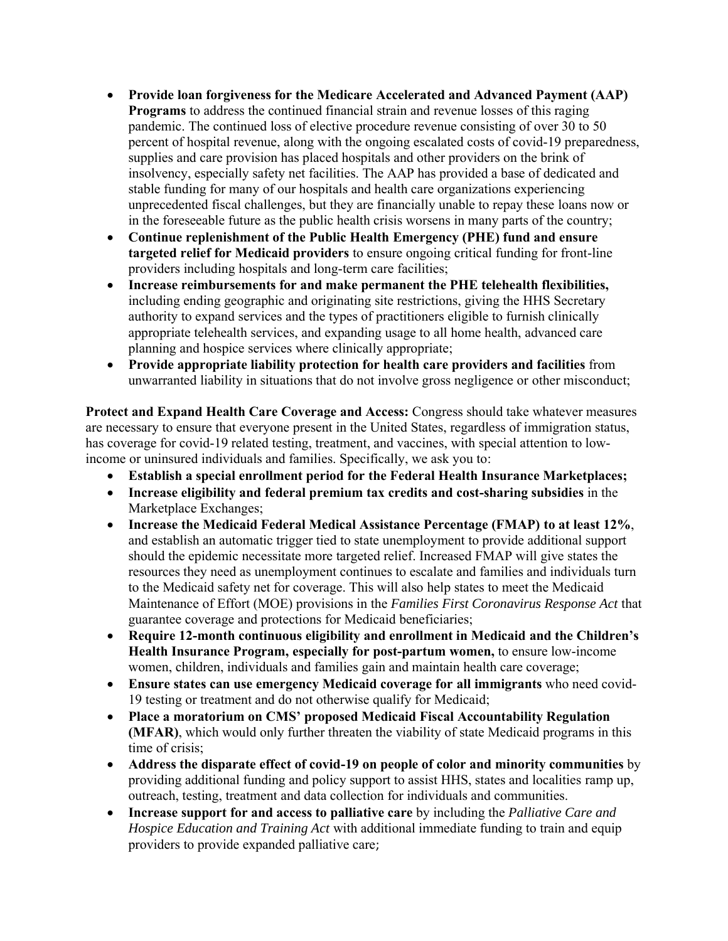- **Provide loan forgiveness for the Medicare Accelerated and Advanced Payment (AAP) Programs** to address the continued financial strain and revenue losses of this raging pandemic. The continued loss of elective procedure revenue consisting of over 30 to 50 percent of hospital revenue, along with the ongoing escalated costs of covid-19 preparedness, supplies and care provision has placed hospitals and other providers on the brink of insolvency, especially safety net facilities. The AAP has provided a base of dedicated and stable funding for many of our hospitals and health care organizations experiencing unprecedented fiscal challenges, but they are financially unable to repay these loans now or in the foreseeable future as the public health crisis worsens in many parts of the country;
- **Continue replenishment of the Public Health Emergency (PHE) fund and ensure targeted relief for Medicaid providers** to ensure ongoing critical funding for front-line providers including hospitals and long-term care facilities;
- **Increase reimbursements for and make permanent the PHE telehealth flexibilities,**  including ending geographic and originating site restrictions, giving the HHS Secretary authority to expand services and the types of practitioners eligible to furnish clinically appropriate telehealth services, and expanding usage to all home health, advanced care planning and hospice services where clinically appropriate;
- **Provide appropriate liability protection for health care providers and facilities** from unwarranted liability in situations that do not involve gross negligence or other misconduct;

**Protect and Expand Health Care Coverage and Access:** Congress should take whatever measures are necessary to ensure that everyone present in the United States, regardless of immigration status, has coverage for covid-19 related testing, treatment, and vaccines, with special attention to lowincome or uninsured individuals and families. Specifically, we ask you to:

- **Establish a special enrollment period for the Federal Health Insurance Marketplaces;**
- **Increase eligibility and federal premium tax credits and cost-sharing subsidies** in the Marketplace Exchanges;
- **Increase the Medicaid Federal Medical Assistance Percentage (FMAP) to at least 12%**, and establish an automatic trigger tied to state unemployment to provide additional support should the epidemic necessitate more targeted relief. Increased FMAP will give states the resources they need as unemployment continues to escalate and families and individuals turn to the Medicaid safety net for coverage. This will also help states to meet the Medicaid Maintenance of Effort (MOE) provisions in the *Families First Coronavirus Response Act* that guarantee coverage and protections for Medicaid beneficiaries;
- **Require 12-month continuous eligibility and enrollment in Medicaid and the Children's Health Insurance Program, especially for post-partum women,** to ensure low-income women, children, individuals and families gain and maintain health care coverage;
- **Ensure states can use emergency Medicaid coverage for all immigrants** who need covid-19 testing or treatment and do not otherwise qualify for Medicaid;
- **Place a moratorium on CMS' proposed Medicaid Fiscal Accountability Regulation (MFAR)**, which would only further threaten the viability of state Medicaid programs in this time of crisis;
- **Address the disparate effect of covid-19 on people of color and minority communities** by providing additional funding and policy support to assist HHS, states and localities ramp up, outreach, testing, treatment and data collection for individuals and communities.
- **Increase support for and access to palliative care** by including the *Palliative Care and Hospice Education and Training Act* with additional immediate funding to train and equip providers to provide expanded palliative care;